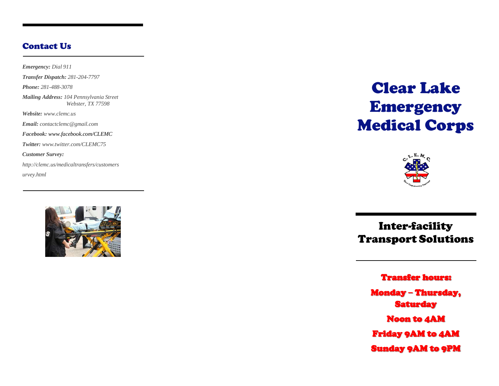## Contact Us

*Emergency: Dial 911 Transfer Dispatch: 281 -204 -7797 Phone: 281 -488 -3078 Mailing Address: 104 Pennsylvania Street Webster, TX 77598 Website: [www.clemc.us](http://www.clemc.us/) Email: [contactclemc@gmail.com](mailto:contactclemc@gmail.com) Facebook: [www.facebook.com/CLEMC](http://www.facebook.com/CLEMC) Twitter: [www.twitter.com/CLEMC75](http://www.twitter.com/CLEMC75) Customer Survey: http://clemc.us/medicaltransfers/customers urvey.html*



Clear Lake Emergency Medical Corps



Inter-facility Transport Solutions

Transfer hours:

Monday **–** Thursday, **Saturday** Noon to 4AM Friday 9AM to 4AM Sunday 9AM to 9PM